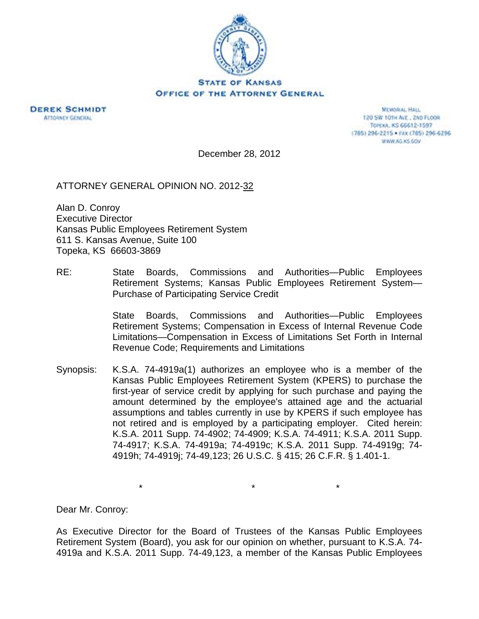

OFFICE OF THE ATTORNEY GENERAL



**MEMORIAL HALL** 120 SW 101H AVE., 2ND FLOOR TOPEXA, KS 66612-1597 (785) 296-2215 · FAX (785) 296-6296 WWW.AG.XS.GOV

December 28, 2012

ATTORNEY GENERAL OPINION NO. 2012-32

Alan D. Conroy Executive Director Kansas Public Employees Retirement System 611 S. Kansas Avenue, Suite 100 Topeka, KS 66603-3869

RE: State Boards, Commissions and Authorities—Public Employees Retirement Systems; Kansas Public Employees Retirement System— Purchase of Participating Service Credit

> State Boards, Commissions and Authorities—Public Employees Retirement Systems; Compensation in Excess of Internal Revenue Code Limitations—Compensation in Excess of Limitations Set Forth in Internal Revenue Code; Requirements and Limitations

Synopsis: K.S.A. 74-4919a(1) authorizes an employee who is a member of the Kansas Public Employees Retirement System (KPERS) to purchase the first-year of service credit by applying for such purchase and paying the amount determined by the employee's attained age and the actuarial assumptions and tables currently in use by KPERS if such employee has not retired and is employed by a participating employer. Cited herein: K.S.A. 2011 Supp. 74-4902; 74-4909; K.S.A. 74-4911; K.S.A. 2011 Supp. 74-4917; K.S.A. 74-4919a; 74-4919c; K.S.A. 2011 Supp. 74-4919g; 74- 4919h; 74-4919j; 74-49,123; 26 U.S.C. § 415; 26 C.F.R. § 1.401-1.

\* \* \*

Dear Mr. Conroy:

As Executive Director for the Board of Trustees of the Kansas Public Employees Retirement System (Board), you ask for our opinion on whether, pursuant to K.S.A. 74- 4919a and K.S.A. 2011 Supp. 74-49,123, a member of the Kansas Public Employees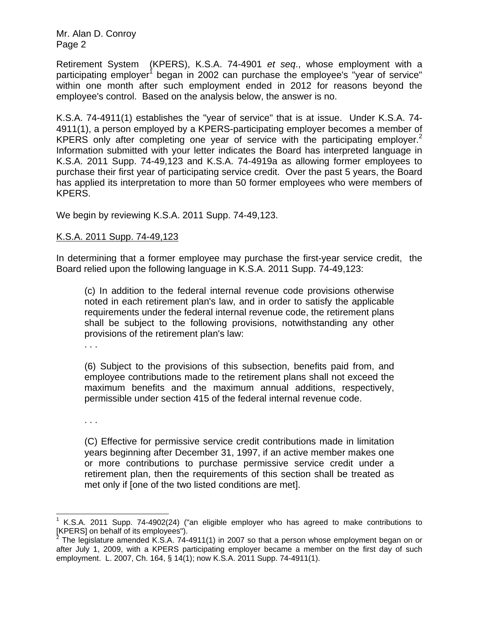Retirement System (KPERS), K.S.A. 74-4901 *et seq*., whose employment with a participating employer<sup>1</sup> began in 2002 can purchase the employee's "year of service" within one month after such employment ended in 2012 for reasons beyond the employee's control. Based on the analysis below, the answer is no.

K.S.A. 74-4911(1) establishes the "year of service" that is at issue. Under K.S.A. 74- 4911(1), a person employed by a KPERS-participating employer becomes a member of KPERS only after completing one year of service with the participating employer.<sup>2</sup> Information submitted with your letter indicates the Board has interpreted language in K.S.A. 2011 Supp. 74-49,123 and K.S.A. 74-4919a as allowing former employees to purchase their first year of participating service credit. Over the past 5 years, the Board has applied its interpretation to more than 50 former employees who were members of KPERS.

We begin by reviewing K.S.A. 2011 Supp. 74-49,123.

## K.S.A. 2011 Supp. 74-49,123

In determining that a former employee may purchase the first-year service credit, the Board relied upon the following language in K.S.A. 2011 Supp. 74-49,123:

(c) In addition to the federal internal revenue code provisions otherwise noted in each retirement plan's law, and in order to satisfy the applicable requirements under the federal internal revenue code, the retirement plans shall be subject to the following provisions, notwithstanding any other provisions of the retirement plan's law:

. . .

(6) Subject to the provisions of this subsection, benefits paid from, and employee contributions made to the retirement plans shall not exceed the maximum benefits and the maximum annual additions, respectively, permissible under section 415 of the federal internal revenue code.

. . .

 $\overline{\phantom{a}}$ 

(C) Effective for permissive service credit contributions made in limitation years beginning after December 31, 1997, if an active member makes one or more contributions to purchase permissive service credit under a retirement plan, then the requirements of this section shall be treated as met only if [one of the two listed conditions are met].

<sup>1</sup> K.S.A. 2011 Supp. 74-4902(24) ("an eligible employer who has agreed to make contributions to

<sup>[</sup>KPERS] on behalf of its employees").<br><sup>2</sup> The legislature amended K.S.A. 74-4911(1) in 2007 so that a person whose employment began on or after July 1, 2009, with a KPERS participating employer became a member on the first day of such employment. L. 2007, Ch. 164, § 14(1); now K.S.A. 2011 Supp. 74-4911(1).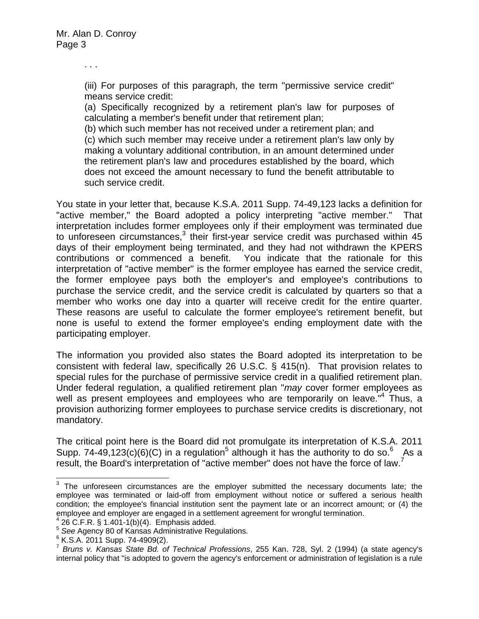. . .

(iii) For purposes of this paragraph, the term "permissive service credit" means service credit:

(a) Specifically recognized by a retirement plan's law for purposes of calculating a member's benefit under that retirement plan;

(b) which such member has not received under a retirement plan; and (c) which such member may receive under a retirement plan's law only by making a voluntary additional contribution, in an amount determined under the retirement plan's law and procedures established by the board, which does not exceed the amount necessary to fund the benefit attributable to such service credit.

You state in your letter that, because K.S.A. 2011 Supp. 74-49,123 lacks a definition for "active member," the Board adopted a policy interpreting "active member." That interpretation includes former employees only if their employment was terminated due to unforeseen circumstances, $3$  their first-year service credit was purchased within 45 days of their employment being terminated, and they had not withdrawn the KPERS contributions or commenced a benefit. You indicate that the rationale for this interpretation of "active member" is the former employee has earned the service credit, the former employee pays both the employer's and employee's contributions to purchase the service credit, and the service credit is calculated by quarters so that a member who works one day into a quarter will receive credit for the entire quarter. These reasons are useful to calculate the former employee's retirement benefit, but none is useful to extend the former employee's ending employment date with the participating employer.

The information you provided also states the Board adopted its interpretation to be consistent with federal law, specifically 26 U.S.C. § 415(n). That provision relates to special rules for the purchase of permissive service credit in a qualified retirement plan. Under federal regulation, a qualified retirement plan "*may* cover former employees as well as present employees and employees who are temporarily on leave.<sup>"4</sup> Thus, a provision authorizing former employees to purchase service credits is discretionary, not mandatory.

The critical point here is the Board did not promulgate its interpretation of K.S.A. 2011 Supp. 74-49,123(c)(6)(C) in a regulation<sup>5</sup> although it has the authority to do so.<sup>6</sup> As a result, the Board's interpretation of "active member" does not have the force of law. $^7$ 

**EXECUTE:**<br><sup>3</sup> The unforeseen circumstances are the employer submitted the necessary documents late; the employee was terminated or laid-off from employment without notice or suffered a serious health condition; the employee's financial institution sent the payment late or an incorrect amount; or (4) the employee and employer are engaged in a settlement agreement for wrongful termination. 4

 <sup>26</sup> C.F.R. § 1.401-1(b)(4). Emphasis added.

<sup>5</sup> *See* Agency 80 of Kansas Administrative Regulations. 6

 $6$  K.S.A. 2011 Supp. 74-4909(2).

<sup>7</sup> *Bruns v. Kansas State Bd. of Technical Professions*, 255 Kan. 728, Syl. 2 (1994) (a state agency's internal policy that "is adopted to govern the agency's enforcement or administration of legislation is a rule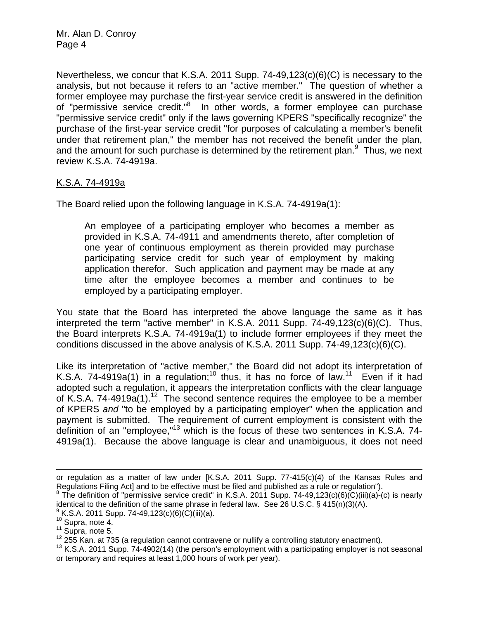Nevertheless, we concur that K.S.A. 2011 Supp. 74-49,123(c)(6)(C) is necessary to the analysis, but not because it refers to an "active member." The question of whether a former employee may purchase the first-year service credit is answered in the definition of "permissive service credit."<sup>8</sup> In other words, a former employee can purchase "permissive service credit" only if the laws governing KPERS "specifically recognize" the purchase of the first-year service credit "for purposes of calculating a member's benefit under that retirement plan," the member has not received the benefit under the plan, and the amount for such purchase is determined by the retirement plan. $9$  Thus, we next review K.S.A. 74-4919a.

## K.S.A. 74-4919a

The Board relied upon the following language in K.S.A. 74-4919a(1):

An employee of a participating employer who becomes a member as provided in K.S.A. 74-4911 and amendments thereto, after completion of one year of continuous employment as therein provided may purchase participating service credit for such year of employment by making application therefor. Such application and payment may be made at any time after the employee becomes a member and continues to be employed by a participating employer.

You state that the Board has interpreted the above language the same as it has interpreted the term "active member" in K.S.A. 2011 Supp. 74-49,123(c)(6)(C). Thus, the Board interprets K.S.A. 74-4919a(1) to include former employees if they meet the conditions discussed in the above analysis of K.S.A. 2011 Supp. 74-49,123(c)(6)(C).

Like its interpretation of "active member," the Board did not adopt its interpretation of K.S.A. 74-4919a(1) in a regulation;<sup>10</sup> thus, it has no force of law.<sup>11</sup> Even if it had adopted such a regulation, it appears the interpretation conflicts with the clear language of K.S.A. 74-4919a(1).<sup>12</sup> The second sentence requires the employee to be a member of KPERS *and* "to be employed by a participating employer" when the application and payment is submitted. The requirement of current employment is consistent with the definition of an "employee,"<sup>13</sup> which is the focus of these two sentences in K.S.A. 74-4919a(1). Because the above language is clear and unambiguous, it does not need

 $\overline{\phantom{a}}$ 

or regulation as a matter of law under [K.S.A. 2011 Supp. 77-415(c)(4) of the Kansas Rules and Regulations Filing Act] and to be effective must be filed and published as a rule or regulation").

 $8$  The definition of "permissive service credit" in K.S.A. 2011 Supp. 74-49,123(c)(6)(C)(iii)(a)-(c) is nearly identical to the definition of the same phrase in federal law. See 26 U.S.C. § 415(n)(3)(A).  $\frac{9}{5}$  K.S.A. 2011 Supp. 74-49.123(c)(6)(C)(iii)(a).

<sup>&</sup>lt;sup>10</sup> Supra, note 4.<br><sup>11</sup> Supra, note 5.<br><sup>12</sup> 255 Kan. at 735 (a regulation cannot contravene or nullify a controlling statutory enactment).<br><sup>13</sup> K.S.A. 2011 Supp. 74-4902(14) (the person's employment with a participating e or temporary and requires at least 1,000 hours of work per year).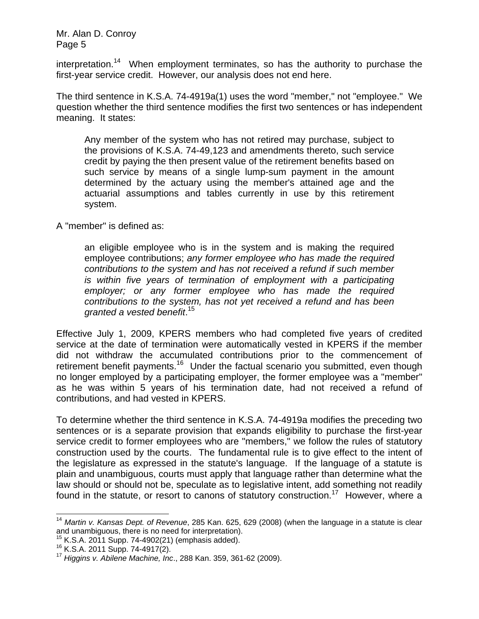interpretation.<sup>14</sup> When employment terminates, so has the authority to purchase the first-year service credit. However, our analysis does not end here.

The third sentence in K.S.A. 74-4919a(1) uses the word "member," not "employee." We question whether the third sentence modifies the first two sentences or has independent meaning. It states:

Any member of the system who has not retired may purchase, subject to the provisions of K.S.A. 74-49,123 and amendments thereto, such service credit by paying the then present value of the retirement benefits based on such service by means of a single lump-sum payment in the amount determined by the actuary using the member's attained age and the actuarial assumptions and tables currently in use by this retirement system.

A "member" is defined as:

an eligible employee who is in the system and is making the required employee contributions; *any former employee who has made the required contributions to the system and has not received a refund if such member is within five years of termination of employment with a participating employer; or any former employee who has made the required contributions to the system, has not yet received a refund and has been granted a vested benefit*. 15

Effective July 1, 2009, KPERS members who had completed five years of credited service at the date of termination were automatically vested in KPERS if the member did not withdraw the accumulated contributions prior to the commencement of retirement benefit payments.<sup>16</sup> Under the factual scenario you submitted, even though no longer employed by a participating employer, the former employee was a "member" as he was within 5 years of his termination date, had not received a refund of contributions, and had vested in KPERS.

To determine whether the third sentence in K.S.A. 74-4919a modifies the preceding two sentences or is a separate provision that expands eligibility to purchase the first-year service credit to former employees who are "members," we follow the rules of statutory construction used by the courts. The fundamental rule is to give effect to the intent of the legislature as expressed in the statute's language. If the language of a statute is plain and unambiguous, courts must apply that language rather than determine what the law should or should not be, speculate as to legislative intent, add something not readily found in the statute, or resort to canons of statutory construction.<sup>17</sup> However, where a

 $\overline{\phantom{a}}$ 

<sup>14</sup> *Martin v. Kansas Dept. of Revenue*, 285 Kan. 625, 629 (2008) (when the language in a statute is clear and unambiguous, there is no need for interpretation).<br><sup>15</sup> K.S.A. 2011 Supp. 74-4902(21) (emphasis added).

<sup>&</sup>lt;sup>16</sup> K.S.A. 2011 Supp. 74-4917(2).<br><sup>17</sup> Higgins v. Abilene Machine, Inc., 288 Kan. 359, 361-62 (2009).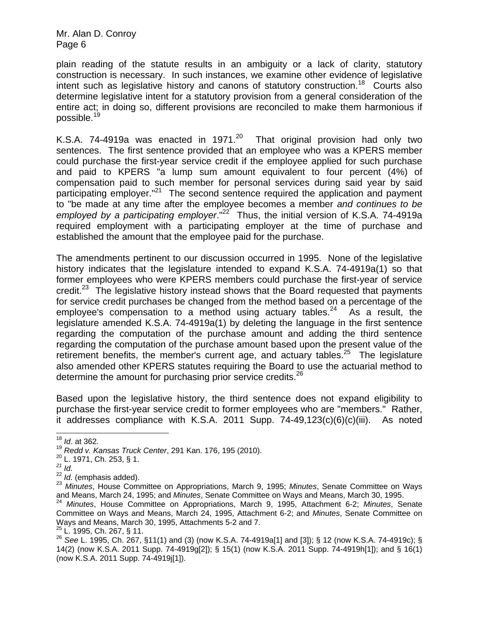plain reading of the statute results in an ambiguity or a lack of clarity, statutory construction is necessary. In such instances, we examine other evidence of legislative intent such as legislative history and canons of statutory construction.<sup>18</sup> Courts also determine legislative intent for a statutory provision from a general consideration of the entire act; in doing so, different provisions are reconciled to make them harmonious if possible.<sup>19</sup>

K.S.A. 74-4919a was enacted in 1971.<sup>20</sup> That original provision had only two sentences. The first sentence provided that an employee who was a KPERS member could purchase the first-year service credit if the employee applied for such purchase and paid to KPERS "a lump sum amount equivalent to four percent (4%) of compensation paid to such member for personal services during said year by said participating employer."<sup>21</sup> The second sentence required the application and payment to "be made at any time after the employee becomes a member *and continues to be employed by a participating employer*."22 Thus, the initial version of K.S.A. 74-4919a required employment with a participating employer at the time of purchase and established the amount that the employee paid for the purchase.

The amendments pertinent to our discussion occurred in 1995. None of the legislative history indicates that the legislature intended to expand K.S.A. 74-4919a(1) so that former employees who were KPERS members could purchase the first-year of service credit.<sup>23</sup> The legislative history instead shows that the Board requested that payments for service credit purchases be changed from the method based on a percentage of the employee's compensation to a method using actuary tables.<sup>24</sup> As a result, the legislature amended K.S.A. 74-4919a(1) by deleting the language in the first sentence regarding the computation of the purchase amount and adding the third sentence regarding the computation of the purchase amount based upon the present value of the retirement benefits, the member's current age, and actuary tables.<sup>25</sup> The legislature also amended other KPERS statutes requiring the Board to use the actuarial method to determine the amount for purchasing prior service credits.<sup>26</sup>

Based upon the legislative history, the third sentence does not expand eligibility to purchase the first-year service credit to former employees who are "members." Rather, it addresses compliance with K.S.A. 2011 Supp.  $74-49,123(c)(6)(c)(iii)$ . As noted

<sup>21</sup> *Id.*<br><sup>22</sup> *Id.* (emphasis added).

 $^{25}$  L. 1995, Ch. 267, § 11.

 $18$  *Id.* at 362.

<sup>&</sup>lt;sup>19</sup> *Redd v. Kansas Truck Center*, 291 Kan. 176, 195 (2010).<br><sup>20</sup> L. 1971, Ch. 253, § 1.

<sup>&</sup>lt;sup>23</sup> Minutes, House Committee on Appropriations, March 9, 1995; Minutes, Senate Committee on Ways and Means, March 24, 1995; and *Minutes*, Senate Committee on Ways and Means, March 30, 1995. 24 *Minutes*, House Committee on Appropriations, March 9, 1995, Attachment 6-2; *Minutes*, Senate

Committee on Ways and Means, March 24, 1995, Attachment 6-2; and *Minutes*, Senate Committee on Ways and Means, March 30, 1995, Attachments 5-2 and 7.

<sup>26</sup> *See* L. 1995, Ch. 267, §11(1) and (3) (now K.S.A. 74-4919a[1] and [3]); § 12 (now K.S.A. 74-4919c); § 14(2) (now K.S.A. 2011 Supp. 74-4919g[2]); § 15(1) (now K.S.A. 2011 Supp. 74-4919h[1]); and § 16(1) (now K.S.A. 2011 Supp. 74-4919j[1]).